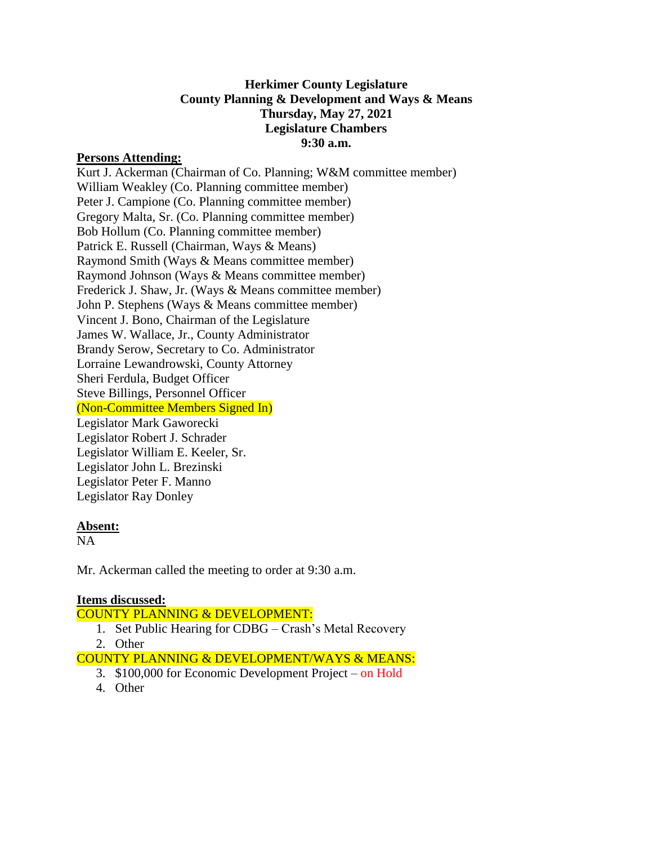## **Herkimer County Legislature County Planning & Development and Ways & Means Thursday, May 27, 2021 Legislature Chambers 9:30 a.m.**

#### **Persons Attending:**

Kurt J. Ackerman (Chairman of Co. Planning; W&M committee member) William Weakley (Co. Planning committee member) Peter J. Campione (Co. Planning committee member) Gregory Malta, Sr. (Co. Planning committee member) Bob Hollum (Co. Planning committee member) Patrick E. Russell (Chairman, Ways & Means) Raymond Smith (Ways & Means committee member) Raymond Johnson (Ways & Means committee member) Frederick J. Shaw, Jr. (Ways & Means committee member) John P. Stephens (Ways & Means committee member) Vincent J. Bono, Chairman of the Legislature James W. Wallace, Jr., County Administrator Brandy Serow, Secretary to Co. Administrator Lorraine Lewandrowski, County Attorney Sheri Ferdula, Budget Officer Steve Billings, Personnel Officer (Non-Committee Members Signed In) Legislator Mark Gaworecki Legislator Robert J. Schrader Legislator William E. Keeler, Sr. Legislator John L. Brezinski Legislator Peter F. Manno Legislator Ray Donley

### **Absent:**

NA

Mr. Ackerman called the meeting to order at 9:30 a.m.

### **Items discussed:**

### COUNTY PLANNING & DEVELOPMENT:

1. Set Public Hearing for CDBG – Crash's Metal Recovery 2. Other

COUNTY PLANNING & DEVELOPMENT/WAYS & MEANS:

- 3. \$100,000 for Economic Development Project on Hold
- 4. Other